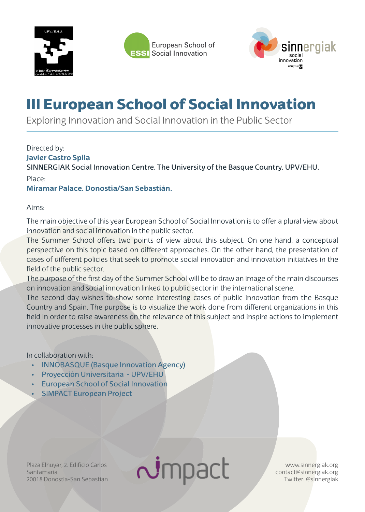





## III European School of Social Innovation

Exploring Innovation and Social Innovation in the Public Sector

Directed by: **Javier Castro Spila**  SINNERGIAK Social Innovation Centre. The University of the Basque Country. UPV/EHU. Place:

## **Miramar Palace. Donostia/San Sebastián.**

Aims:

The main objective of this year European School of Social Innovation is to offer a plural view about innovation and social innovation in the public sector.

The Summer School offers two points of view about this subject. On one hand, a conceptual perspective on this topic based on different approaches. On the other hand, the presentation of cases of different policies that seek to promote social innovation and innovation initiatives in the field of the public sector.

The purpose of the first day of the Summer School will be to draw an image of the main discourses on innovation and social innovation linked to public sector in the international scene.

The second day wishes to show some interesting cases of public innovation from the Basque Country and Spain. The purpose is to visualize the work done from different organizations in this field in order to raise awareness on the relevance of this subject and inspire actions to implement innovative processes in the public sphere.

In collaboration with:

- INNOBASQUE (Basque Innovation Agency)
- **Proyección Universitaria UPV/EHU**
- **European School of Social Innovation**
- **SIMPACT European Project**

Plaza Elhuyar, 2. Edificio Carlos Santamaría. 20018 Donostia-San Sebastían  $\sim$ mpact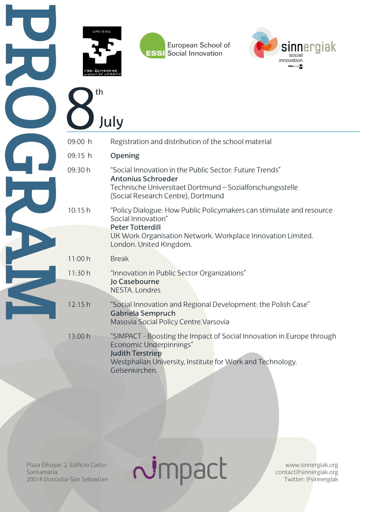

9

th

July

European School of **ESSI** Social Innovation



|         | JUIY                                                                                                                                                                                                            |
|---------|-----------------------------------------------------------------------------------------------------------------------------------------------------------------------------------------------------------------|
| 09:00 h | Registration and distribution of the school material                                                                                                                                                            |
| 09:15 h | Opening                                                                                                                                                                                                         |
| 09:30 h | "Social Innovation in the Public Sector: Future Trends"<br><b>Antonius Schroeder</b><br>Technische Universitaet Dortmund - Sozialforschungsstelle<br>(Social Research Centre), Dortmund                         |
| 10:15h  | "Policy Dialogue: How Public Policymakers can stimulate and resource<br>Social Innovation"<br><b>Peter Totterdill</b><br>UK Work Organisation Network. Workplace Innovation Limited.<br>London. United Kingdom. |
| 11:00 h | <b>Break</b>                                                                                                                                                                                                    |
| 11:30h  | "Innovation in Public Sector Organizations"<br>Jo Casebourne<br>NESTA. Londres                                                                                                                                  |
| 12:15h  | "Social Innovation and Regional Development: the Polish Case"<br>Gabriela Sempruch<br>Masovia Social Policy Centre. Varsovia                                                                                    |
| 13:00 h | "SIMPACT - Boosting the Impact of Social Innovation in Europe through<br>Economic Underpinnings"<br><b>Judith Terstriep</b><br>Westphalian University, Institute for Work and Technology.<br>Gelsenkirchen.     |

 $\sim$ impact

Plaza Elhuyar, 2. Edificio Carlos Santamaría. 20018 Donostia-San Sebastían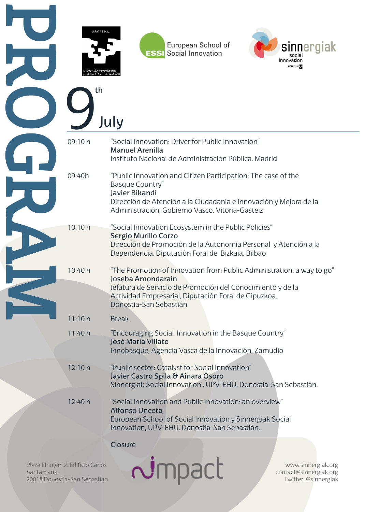

th

European School of **ESSI** Social Innovation



July 09:10 h "Social Innovation: Driver for Public Innovation" Manuel Arenilla Instituto Nacional de Administración Pública. Madrid 09:40h "Public Innovation and Citizen Participation: The case of the Basque Country" Javier Bikandi Dirección de Atención a la Ciudadanía e Innovación y Mejora de la Administración, Gobierno Vasco. Vitoria-Gasteiz 10:10 h "Social Innovation Ecosystem in the Public Policies" Sergio Murillo Corzo Dirección de Promoción de la Autonomía Personal y Atención a la Dependencia, Diputación Foral de Bizkaia. Bilbao 10:40 h "The Promotion of Innovation from Public Administration: a way to go" Joseba Amondarain Jefatura de Servicio de Promoción del Conocimiento y de la Actividad Empresarial, Diputación Foral de Gipuzkoa. Donostia-San Sebastián 11:10 h Break 11:40 h "Encouraging Social Innovation in the Basque Country" José María Villate Innobasque, Agencia Vasca de la Innovación. Zamudio 12:10 h "Public sector: Catalyst for Social Innovation" Javier Castro Spila & Ainara Osoro Sinnergiak Social Innovation , UPV-EHU. Donostia-San Sebastián. 12:40 h "Social Innovation and Public Innovation: an overview" Alfonso Unceta European School of Social Innovation y Sinnergiak Social Innovation, UPV-EHU. Donostia-San Sebastián. Closure

Plaza Elhuyar, 2. Edificio Carlos Santamaría. 20018 Donostia-San Sebastían  $\sim$ mpact